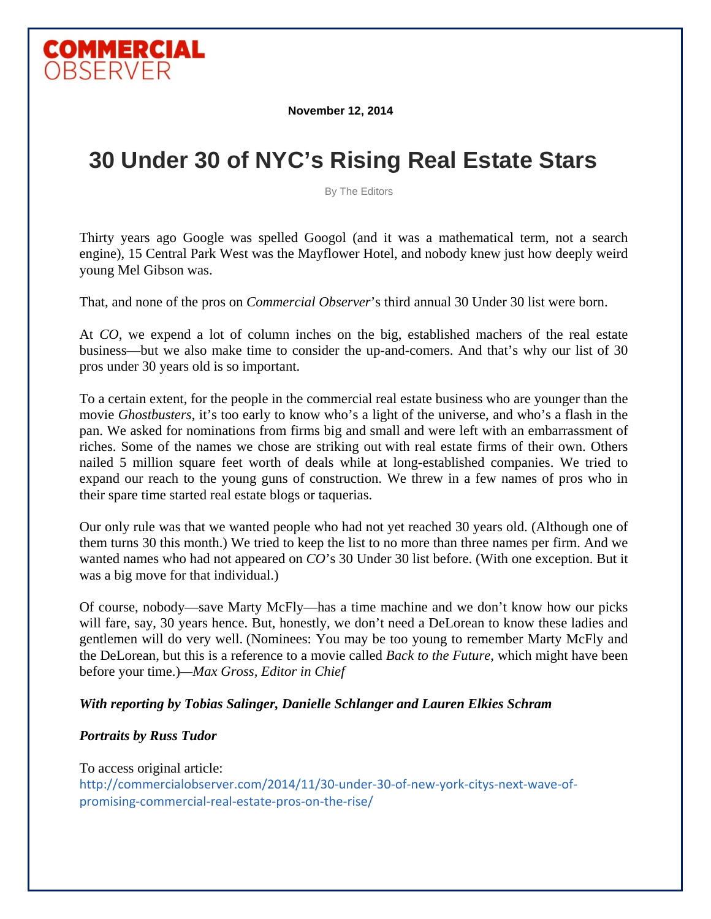

**November 12, 2014**

# **30 Under 30 of NYC's Rising Real Estate Stars**

By The Editors

Thirty years ago Google was spelled Googol (and it was a mathematical term, not a search engine), 15 Central Park West was the Mayflower Hotel, and nobody knew just how deeply weird young Mel Gibson was.

That, and none of the pros on *Commercial Observer*'s third annual 30 Under 30 list were born.

At *CO*, we expend a lot of column inches on the big, established machers of the real estate business—but we also make time to consider the up-and-comers. And that's why our list of 30 pros under 30 years old is so important.

To a certain extent, for the people in the commercial real estate business who are younger than the movie *Ghostbusters*, it's too early to know who's a light of the universe, and who's a flash in the pan. We asked for nominations from firms big and small and were left with an embarrassment of riches. Some of the names we chose are striking out with real estate firms of their own. Others nailed 5 million square feet worth of deals while at long-established companies. We tried to expand our reach to the young guns of construction. We threw in a few names of pros who in their spare time started real estate blogs or taquerias.

Our only rule was that we wanted people who had not yet reached 30 years old. (Although one of them turns 30 this month.) We tried to keep the list to no more than three names per firm. And we wanted names who had not appeared on *CO*'s 30 Under 30 list before. (With one exception. But it was a big move for that individual.)

Of course, nobody—save Marty McFly—has a time machine and we don't know how our picks will fare, say, 30 years hence. But, honestly, we don't need a DeLorean to know these ladies and gentlemen will do very well. (Nominees: You may be too young to remember Marty McFly and the DeLorean, but this is a reference to a movie called *Back to the Future*, which might have been before your time.)*—Max Gross, Editor in Chief*

#### *With reporting by Tobias Salinger, Danielle Schlanger and Lauren Elkies Schram*

#### *Portraits by Russ Tudor*

To access original article: http://commercialobserver.com/2014/11/30-under-30-of-new-york-citys-next-wave-ofpromising‐commercial‐real‐estate‐pros‐on‐the‐rise/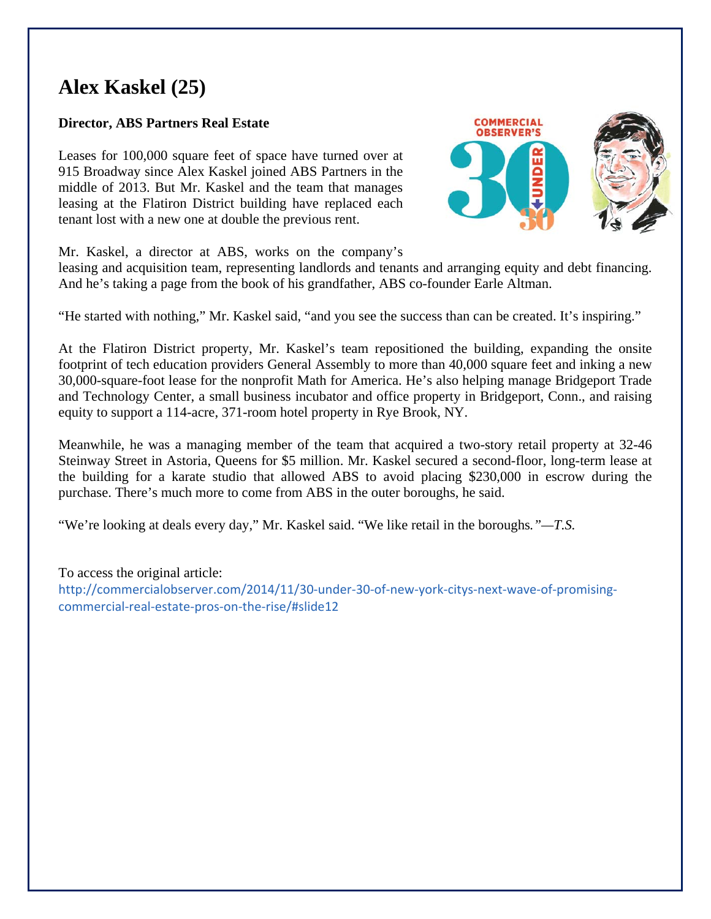## **Alex Kaskel (25)**

### **Director, ABS Partners Real Estate**

Leases for 100,000 square feet of space have turned over at 915 Broadway since Alex Kaskel joined ABS Partners in the middle of 2013. But Mr. Kaskel and the team that manages leasing at the Flatiron District building have replaced each tenant lost with a new one at double the previous rent.



Mr. Kaskel, a director at ABS, works on the company's

leasing and acquisition team, representing landlords and tenants and arranging equity and debt financing. And he's taking a page from the book of his grandfather, ABS co-founder Earle Altman.

"He started with nothing," Mr. Kaskel said, "and you see the success than can be created. It's inspiring."

At the Flatiron District property, Mr. Kaskel's team repositioned the building, expanding the onsite footprint of tech education providers General Assembly to more than 40,000 square feet and inking a new 30,000-square-foot lease for the nonprofit Math for America. He's also helping manage Bridgeport Trade and Technology Center, a small business incubator and office property in Bridgeport, Conn., and raising equity to support a 114-acre, 371-room hotel property in Rye Brook, NY.

Meanwhile, he was a managing member of the team that acquired a two-story retail property at 32-46 Steinway Street in Astoria, Queens for \$5 million. Mr. Kaskel secured a second-floor, long-term lease at the building for a karate studio that allowed ABS to avoid placing \$230,000 in escrow during the purchase. There's much more to come from ABS in the outer boroughs, he said.

"We're looking at deals every day," Mr. Kaskel said. "We like retail in the boroughs*."—T.S.* 

To access the original article: http://commercialobserver.com/2014/11/30-under-30-of-new-york-citys-next-wave-of-promisingcommercial‐real‐estate‐pros‐on‐the‐rise/#slide12